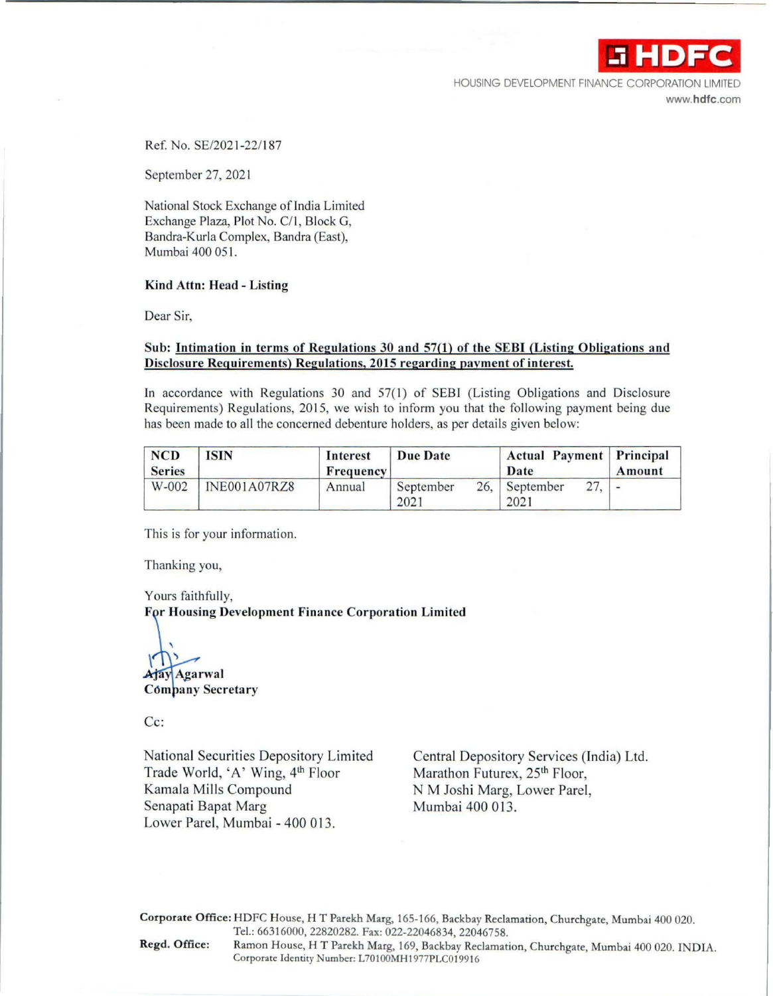

HOUSING DEVELOPMENT FINANCE CORPORATION LIMITED **www.hdfc.com** 

Ref. No. SE/2021-22/187

September 27, 2021

National Stock Exchange of India Limited Exchange Plaza, Plot No. C/1, Block G, Bandra-Kurla Complex, Sandra (East), Mumbai 400 051.

## **Kind Attn: Head** - **Listing**

Dear Sir,

## **Sub: Intimation in terms of Regulations 30 and 57(1) of the SEBI (Listing Obligations and Disclosure Requirements) Regulations, 2015 regarding payment of interest.**

In accordance with Regulations 30 and  $57(1)$  of SEBI (Listing Obligations and Disclosure Requirements) Regulations, 2015, we wish to inform you that the following payment being due has been made to all the concerned debenture holders, as per details given below:

| <b>NCD</b><br><b>Series</b> | <b>ISIN</b>  | Interest<br>Frequency | Due Date          | Actual Payment Principal<br>Date |     | Amount |
|-----------------------------|--------------|-----------------------|-------------------|----------------------------------|-----|--------|
| W-002                       | INE001A07RZ8 | Annual                | September<br>2021 | 26. September<br>2021            | 27. |        |

This is for your information.

Thanking you,

Yours faithfully,

**For Housing Development Finance Corporation Limited** 

**Ajay Agarwal Cómpany Secretary** 

Cc:

National Securities Depository Limited Trade World, 'A' Wing, 4<sup>th</sup> Floor Kamala Mills Compound Senapati Bapat Marg Mumbai 400 013. Lower Parel, Mumbai - 400 013.

Central Depository Services (India) Ltd. Marathon Futurex, 25<sup>th</sup> Floor, NM Joshi Marg, Lower Parel,

**Corporate Office:** HDFC House, HT Parekh **Marg,** 165-166, Backbay Reclamation, Churchgate, Mumbai 400 020. Tel.: 66316000, 22820282. Fax: 022-22046834, 22046758. Regd. Office: Ramon House, HT Parekh Marg, 169, Backbay Reclamation, Churchgate, Mumbai 400 020. INDIA. Corporate Identity Number: L70100MH1977PLC019916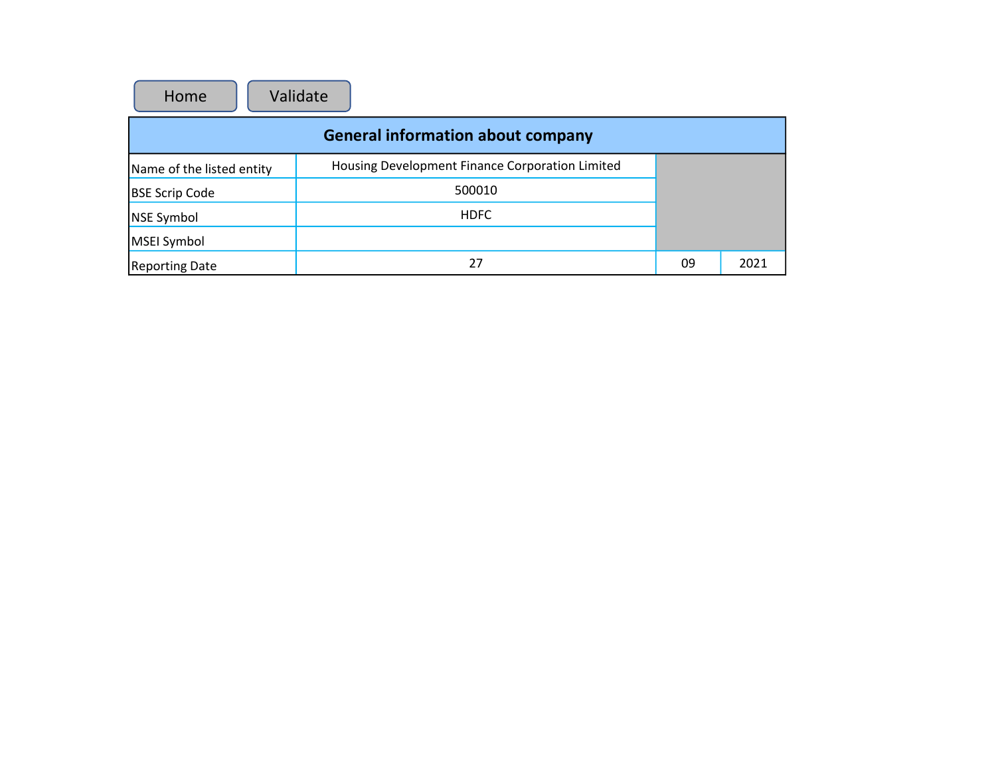| Validate<br>Home                         |                                                 |    |      |  |  |  |  |  |
|------------------------------------------|-------------------------------------------------|----|------|--|--|--|--|--|
| <b>General information about company</b> |                                                 |    |      |  |  |  |  |  |
| Name of the listed entity                | Housing Development Finance Corporation Limited |    |      |  |  |  |  |  |
| <b>BSE Scrip Code</b>                    | 500010                                          |    |      |  |  |  |  |  |
| <b>NSE Symbol</b>                        | <b>HDFC</b>                                     |    |      |  |  |  |  |  |
| MSEI Symbol                              |                                                 |    |      |  |  |  |  |  |
| <b>Reporting Date</b>                    | 27                                              | 09 | 2021 |  |  |  |  |  |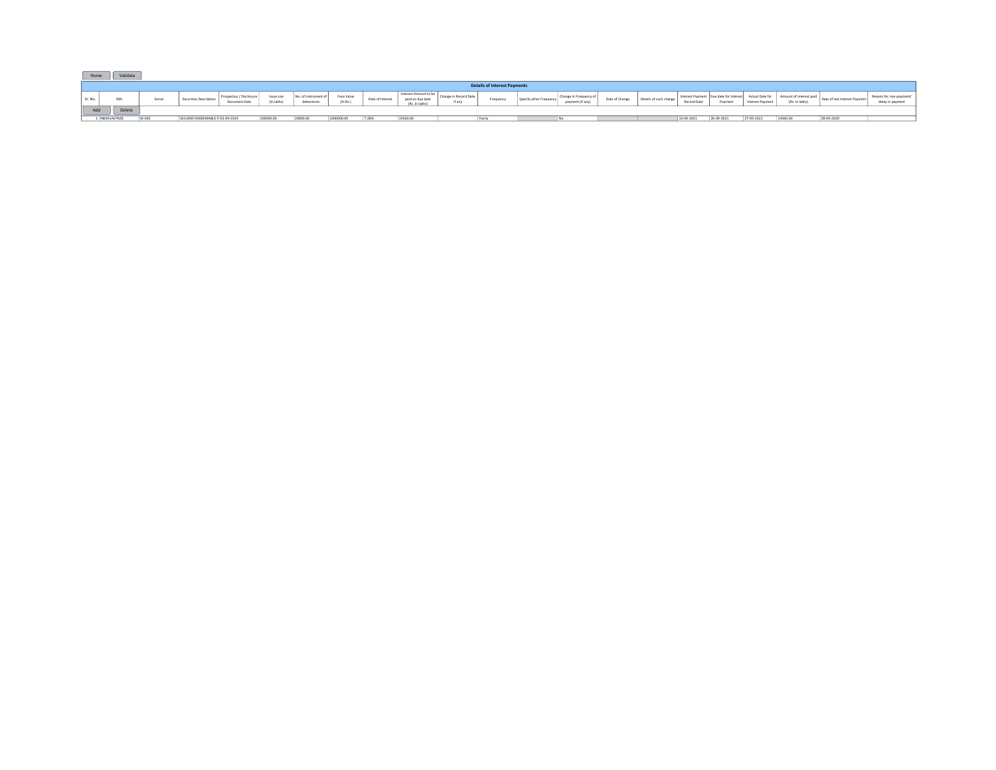| Home    |                                     | Validate |        |                                 |                                         |                          |                                 |                        |                  |                                                             |                              |        |                  |                |                       |             |            |                  |                |                   |                  |
|---------|-------------------------------------|----------|--------|---------------------------------|-----------------------------------------|--------------------------|---------------------------------|------------------------|------------------|-------------------------------------------------------------|------------------------------|--------|------------------|----------------|-----------------------|-------------|------------|------------------|----------------|-------------------|------------------|
|         | <b>Details of interest Payments</b> |          |        |                                 |                                         |                          |                                 |                        |                  |                                                             |                              |        |                  |                |                       |             |            |                  |                |                   |                  |
| Sr. No. |                                     | ISIN     | Series | Securities Descriptio           | Prospectus / Disclosur<br>Document Date | Issue size<br>(In lakhs) | No. of instrument<br>debentures | Face Value<br>(In Rs.) | Rate of Interest | Interest Amount to be<br>paid on due date<br>(Rs. In lakhs) | <b>Record Date</b><br>if any | requen | payment (if any) | Date of Change | Details of such chang | Record Date | Payment    | Interest Payment | (Rs. In lakhs) | "nterest Payment. | delay in payment |
|         | Add<br>Delete                       |          |        |                                 |                                         |                          |                                 |                        |                  |                                                             |                              |        |                  |                |                       |             |            |                  |                |                   |                  |
|         | INEO01A07RZS                        |          |        | SECURED REDEEMABLE N 03-09-2019 |                                         | 200000.00                | 20000.00                        |                        |                  | 14560.00                                                    |                              |        |                  |                |                       | 10-09-2021  | 26-09-2021 | 27-09-2021       | 14560.0        | 28-09-2020        |                  |

- -